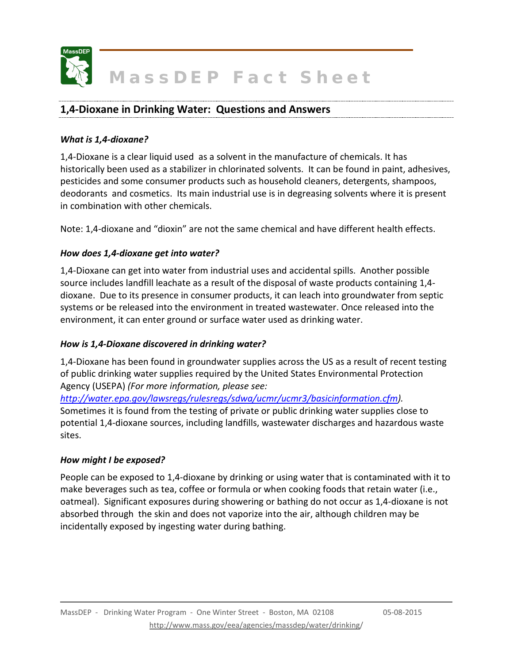

### **1,4-Dioxane in Drinking Water: Questions and Answers**

#### *What is 1,4-dioxane?*

1,4-Dioxane is a clear liquid used as a solvent in the manufacture of chemicals. It has historically been used as a stabilizer in chlorinated solvents. It can be found in paint, adhesives, pesticides and some consumer products such as household cleaners, detergents, shampoos, deodorants and cosmetics. Its main industrial use is in degreasing solvents where it is present in combination with other chemicals.

Note: 1,4-dioxane and "dioxin" are not the same chemical and have different health effects.

#### *How does 1,4-dioxane get into water?*

1,4-Dioxane can get into water from industrial uses and accidental spills. Another possible source includes landfill leachate as a result of the disposal of waste products containing 1,4 dioxane. Due to its presence in consumer products, it can leach into groundwater from septic systems or be released into the environment in treated wastewater. Once released into the environment, it can enter ground or surface water used as drinking water.

#### *How is 1,4-Dioxane discovered in drinking water?*

1,4-Dioxane has been found in groundwater supplies across the US as a result of recent testing of public drinking water supplies required by the United States Environmental Protection Agency (USEPA) *(For more information, please see:* 

*[http://water.epa.gov/lawsregs/rulesregs/sdwa/ucmr/ucmr3/basicinformation.cfm\)](http://water.epa.gov/lawsregs/rulesregs/sdwa/ucmr/ucmr3/basicinformation.cfm).* Sometimes it is found from the testing of private or public drinking water supplies close to potential 1,4-dioxane sources, including landfills, wastewater discharges and hazardous waste sites.

#### *How might I be exposed?*

People can be exposed to 1,4-dioxane by drinking or using water that is contaminated with it to make beverages such as tea, coffee or formula or when cooking foods that retain water (i.e., oatmeal). Significant exposures during showering or bathing do not occur as 1,4-dioxane is not absorbed through the skin and does not vaporize into the air, although children may be incidentally exposed by ingesting water during bathing.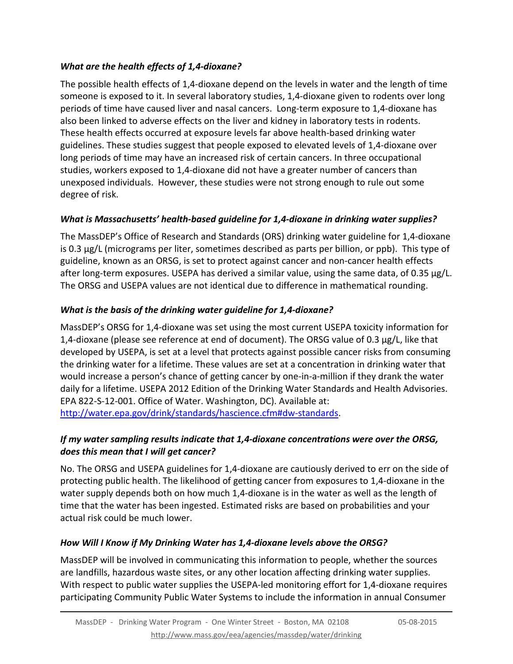### *What are the health effects of 1,4-dioxane?*

The possible health effects of 1,4-dioxane depend on the levels in water and the length of time someone is exposed to it. In several laboratory studies, 1,4-dioxane given to rodents over long periods of time have caused liver and nasal cancers. Long-term exposure to 1,4-dioxane has also been linked to adverse effects on the liver and kidney in laboratory tests in rodents. These health effects occurred at exposure levels far above health-based drinking water guidelines. These studies suggest that people exposed to elevated levels of 1,4-dioxane over long periods of time may have an increased risk of certain cancers. In three occupational studies, workers exposed to 1,4-dioxane did not have a greater number of cancers than unexposed individuals. However, these studies were not strong enough to rule out some degree of risk.

# *What is Massachusetts' health-based guideline for 1,4-dioxane in drinking water supplies?*

The MassDEP's Office of Research and Standards (ORS) drinking water guideline for 1,4-dioxane is 0.3 μg/L (micrograms per liter, sometimes described as parts per billion, or ppb). This type of guideline, known as an ORSG, is set to protect against cancer and non-cancer health effects after long-term exposures. USEPA has derived a similar value, using the same data, of 0.35 μg/L. The ORSG and USEPA values are not identical due to difference in mathematical rounding.

# *What is the basis of the drinking water guideline for 1,4-dioxane?*

MassDEP's ORSG for 1,4-dioxane was set using the most current USEPA toxicity information for 1,4-dioxane (please see reference at end of document). The ORSG value of 0.3  $\mu$ g/L, like that developed by USEPA, is set at a level that protects against possible cancer risks from consuming the drinking water for a lifetime. These values are set at a concentration in drinking water that would increase a person's chance of getting cancer by one-in-a-million if they drank the water daily for a lifetime. USEPA 2012 Edition of the Drinking Water Standards and Health Advisories. EPA 822-S-12-001. Office of Water. Washington, DC). Available at: [http://water.epa.gov/drink/standards/hascience.cfm#dw-standards.](http://water.epa.gov/drink/standards/hascience.cfm%23dw-standards)

### *If my water sampling results indicate that 1,4-dioxane concentrations were over the ORSG, does this mean that I will get cancer?*

No. The ORSG and USEPA guidelines for 1,4-dioxane are cautiously derived to err on the side of protecting public health. The likelihood of getting cancer from exposures to 1,4-dioxane in the water supply depends both on how much 1,4-dioxane is in the water as well as the length of time that the water has been ingested. Estimated risks are based on probabilities and your actual risk could be much lower.

## *How Will I Know if My Drinking Water has 1,4-dioxane levels above the ORSG?*

MassDEP will be involved in communicating this information to people, whether the sources are landfills, hazardous waste sites, or any other location affecting drinking water supplies. With respect to public water supplies the USEPA-led monitoring effort for 1,4-dioxane requires participating Community Public Water Systems to include the information in annual Consumer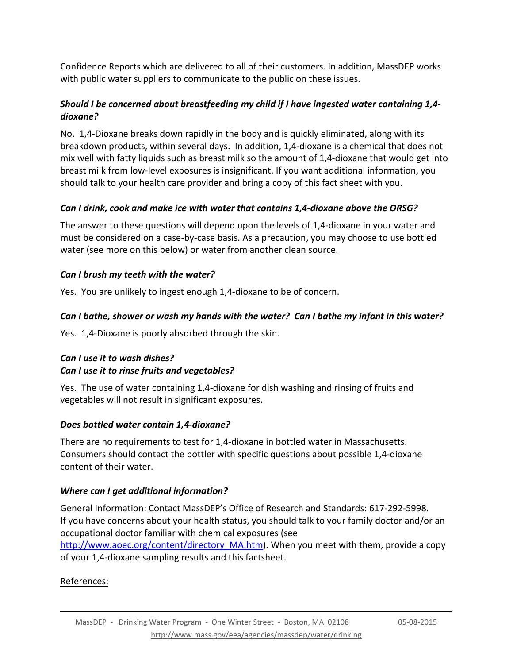Confidence Reports which are delivered to all of their customers. In addition, MassDEP works with public water suppliers to communicate to the public on these issues.

### *Should I be concerned about breastfeeding my child if I have ingested water containing 1,4 dioxane?*

No. 1,4-Dioxane breaks down rapidly in the body and is quickly eliminated, along with its breakdown products, within several days. In addition, 1,4-dioxane is a chemical that does not mix well with fatty liquids such as breast milk so the amount of 1,4-dioxane that would get into breast milk from low-level exposures is insignificant. If you want additional information, you should talk to your health care provider and bring a copy of this fact sheet with you.

# *Can I drink, cook and make ice with water that contains 1,4-dioxane above the ORSG?*

The answer to these questions will depend upon the levels of 1,4-dioxane in your water and must be considered on a case-by-case basis. As a precaution, you may choose to use bottled water (see more on this below) or water from another clean source.

# *Can I brush my teeth with the water?*

Yes. You are unlikely to ingest enough 1,4-dioxane to be of concern.

# *Can I bathe, shower or wash my hands with the water? Can I bathe my infant in this water?*

Yes. 1,4-Dioxane is poorly absorbed through the skin.

## *Can I use it to wash dishes? Can I use it to rinse fruits and vegetables?*

Yes. The use of water containing 1,4-dioxane for dish washing and rinsing of fruits and vegetables will not result in significant exposures.

## *Does bottled water contain 1,4-dioxane?*

There are no requirements to test for 1,4-dioxane in bottled water in Massachusetts. Consumers should contact the bottler with specific questions about possible 1,4-dioxane content of their water.

## *Where can I get additional information?*

General Information: Contact MassDEP's Office of Research and Standards: 617-292-5998. If you have concerns about your health status, you should talk to your family doctor and/or an occupational doctor familiar with chemical exposures (see [http://www.aoec.org/content/directory\\_MA.htm\)](http://www.aoec.org/content/directory_MA.htm). When you meet with them, provide a copy of your 1,4-dioxane sampling results and this factsheet.

## References: